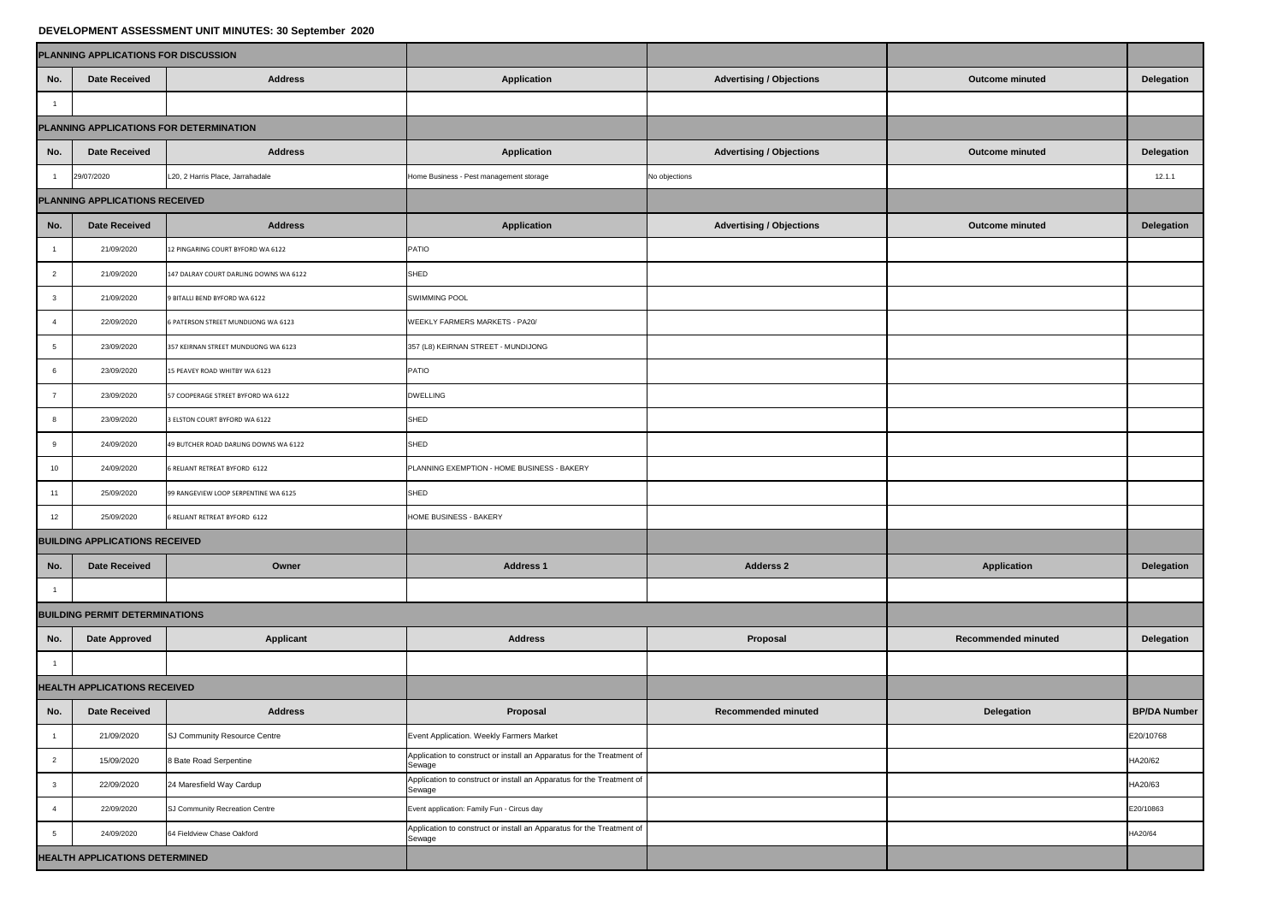## **DEVELOPMENT ASSESSMENT UNIT MINUTES: 30 September 2020**

| DEVELOI MENT AUULUUMENT UNIT MINUTEU. UU UUPIUIINUI EULU |                                       |                                        |                                                                                 |                                 |                            |                     |  |  |  |  |
|----------------------------------------------------------|---------------------------------------|----------------------------------------|---------------------------------------------------------------------------------|---------------------------------|----------------------------|---------------------|--|--|--|--|
|                                                          | PLANNING APPLICATIONS FOR DISCUSSION  |                                        |                                                                                 |                                 |                            |                     |  |  |  |  |
| No.                                                      | <b>Date Received</b>                  | <b>Address</b>                         | <b>Application</b>                                                              | <b>Advertising / Objections</b> | <b>Outcome minuted</b>     | <b>Delegation</b>   |  |  |  |  |
|                                                          |                                       |                                        |                                                                                 |                                 |                            |                     |  |  |  |  |
| PLANNING APPLICATIONS FOR DETERMINATION                  |                                       |                                        |                                                                                 |                                 |                            |                     |  |  |  |  |
| No.                                                      | <b>Date Received</b>                  | <b>Address</b>                         | <b>Application</b>                                                              | <b>Advertising / Objections</b> | <b>Outcome minuted</b>     | <b>Delegation</b>   |  |  |  |  |
|                                                          | 29/07/2020                            | L20, 2 Harris Place, Jarrahadale       | Home Business - Pest management storage                                         | No objections                   |                            | 12.1.1              |  |  |  |  |
| PLANNING APPLICATIONS RECEIVED                           |                                       |                                        |                                                                                 |                                 |                            |                     |  |  |  |  |
| No.                                                      | <b>Date Received</b>                  | <b>Address</b>                         | <b>Application</b>                                                              | <b>Advertising / Objections</b> | <b>Outcome minuted</b>     | <b>Delegation</b>   |  |  |  |  |
|                                                          | 21/09/2020                            | 12 PINGARING COURT BYFORD WA 6122      | <b>PATIO</b>                                                                    |                                 |                            |                     |  |  |  |  |
| $\overline{2}$                                           | 21/09/2020                            | 147 DALRAY COURT DARLING DOWNS WA 6122 | <b>SHED</b>                                                                     |                                 |                            |                     |  |  |  |  |
| $\mathbf{3}$                                             | 21/09/2020                            | 9 BITALLI BEND BYFORD WA 6122          | <b>SWIMMING POOL</b>                                                            |                                 |                            |                     |  |  |  |  |
|                                                          | 22/09/2020                            | 6 PATERSON STREET MUNDIJONG WA 6123    | <b>WEEKLY FARMERS MARKETS - PA20/</b>                                           |                                 |                            |                     |  |  |  |  |
|                                                          | 23/09/2020                            | 357 KEIRNAN STREET MUNDIJONG WA 6123   | 357 (L8) KEIRNAN STREET - MUNDIJONG                                             |                                 |                            |                     |  |  |  |  |
| -6                                                       | 23/09/2020                            | 15 PEAVEY ROAD WHITBY WA 6123          | <b>PATIO</b>                                                                    |                                 |                            |                     |  |  |  |  |
|                                                          | 23/09/2020                            | 57 COOPERAGE STREET BYFORD WA 6122     | <b>DWELLING</b>                                                                 |                                 |                            |                     |  |  |  |  |
|                                                          | 23/09/2020                            | 3 ELSTON COURT BYFORD WA 6122          | <b>SHED</b>                                                                     |                                 |                            |                     |  |  |  |  |
| 9                                                        | 24/09/2020                            | 49 BUTCHER ROAD DARLING DOWNS WA 6122  | <b>SHED</b>                                                                     |                                 |                            |                     |  |  |  |  |
| 10                                                       | 24/09/2020                            | 6 RELIANT RETREAT BYFORD 6122          | PLANNING EXEMPTION - HOME BUSINESS - BAKERY                                     |                                 |                            |                     |  |  |  |  |
| 11                                                       | 25/09/2020                            | 99 RANGEVIEW LOOP SERPENTINE WA 6125   | <b>SHED</b>                                                                     |                                 |                            |                     |  |  |  |  |
| 12                                                       | 25/09/2020                            | 6 RELIANT RETREAT BYFORD 6122          | HOME BUSINESS - BAKERY                                                          |                                 |                            |                     |  |  |  |  |
| <b>BUILDING APPLICATIONS RECEIVED</b>                    |                                       |                                        |                                                                                 |                                 |                            |                     |  |  |  |  |
| No.                                                      | <b>Date Received</b>                  | Owner                                  | <b>Address 1</b>                                                                | <b>Adderss 2</b>                | <b>Application</b>         | <b>Delegation</b>   |  |  |  |  |
|                                                          |                                       |                                        |                                                                                 |                                 |                            |                     |  |  |  |  |
|                                                          | <b>BUILDING PERMIT DETERMINATIONS</b> |                                        |                                                                                 |                                 |                            |                     |  |  |  |  |
| No.                                                      | <b>Date Approved</b>                  | <b>Applicant</b>                       | <b>Address</b>                                                                  | Proposal                        | <b>Recommended minuted</b> | <b>Delegation</b>   |  |  |  |  |
|                                                          |                                       |                                        |                                                                                 |                                 |                            |                     |  |  |  |  |
| <b>HEALTH APPLICATIONS RECEIVED</b>                      |                                       |                                        |                                                                                 |                                 |                            |                     |  |  |  |  |
| No.                                                      | <b>Date Received</b>                  | <b>Address</b>                         | Proposal                                                                        | <b>Recommended minuted</b>      | <b>Delegation</b>          | <b>BP/DA Number</b> |  |  |  |  |
|                                                          | 21/09/2020                            | SJ Community Resource Centre           | Event Application. Weekly Farmers Market                                        |                                 |                            | E20/10768           |  |  |  |  |
| $\overline{2}$                                           | 15/09/2020                            | 8 Bate Road Serpentine                 | Application to construct or install an Apparatus for the Treatment of<br>Sewage |                                 |                            | HA20/62             |  |  |  |  |
| $\mathbf{3}$                                             | 22/09/2020                            | 24 Maresfield Way Cardup               | Application to construct or install an Apparatus for the Treatment of<br>Sewage |                                 |                            | HA20/63             |  |  |  |  |
|                                                          | 22/09/2020                            | SJ Community Recreation Centre         | Event application: Family Fun - Circus day                                      |                                 |                            | E20/10863           |  |  |  |  |
| $5\overline{5}$                                          | 24/09/2020                            | 64 Fieldview Chase Oakford             | Application to construct or install an Apparatus for the Treatment of<br>Sewage |                                 |                            | HA20/64             |  |  |  |  |
|                                                          | <b>HEALTH APPLICATIONS DETERMINED</b> |                                        |                                                                                 |                                 |                            |                     |  |  |  |  |
|                                                          |                                       |                                        |                                                                                 |                                 |                            |                     |  |  |  |  |